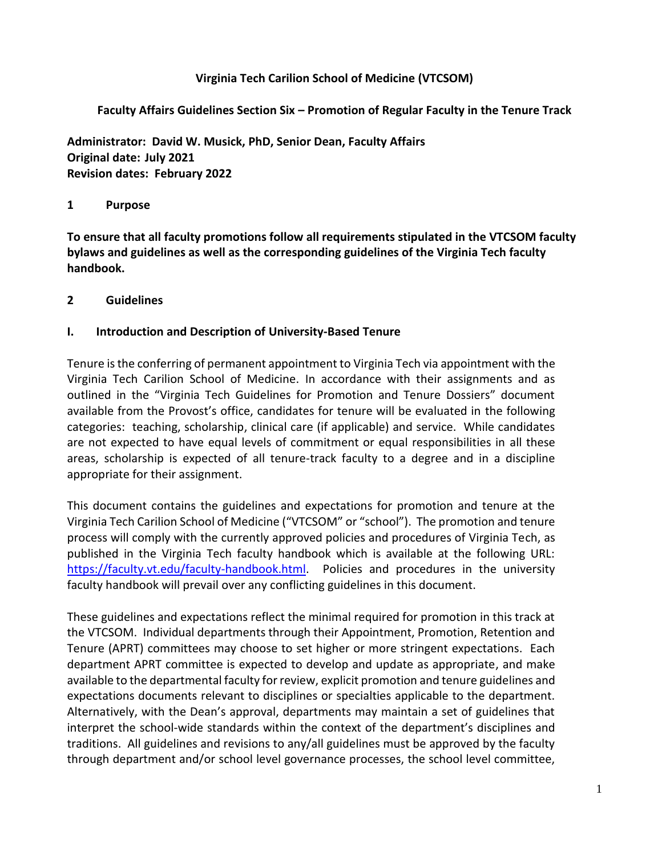## **Virginia Tech Carilion School of Medicine (VTCSOM)**

## **Faculty Affairs Guidelines Section Six – Promotion of Regular Faculty in the Tenure Track**

**Administrator: David W. Musick, PhD, Senior Dean, Faculty Affairs Original date: July 2021 Revision dates: February 2022**

#### **1 Purpose**

**To ensure that all faculty promotions follow all requirements stipulated in the VTCSOM faculty bylaws and guidelines as well as the corresponding guidelines of the Virginia Tech faculty handbook.**

#### **2 Guidelines**

#### **I. Introduction and Description of University-Based Tenure**

Tenure is the conferring of permanent appointment to Virginia Tech via appointment with the Virginia Tech Carilion School of Medicine. In accordance with their assignments and as outlined in the "Virginia Tech Guidelines for Promotion and Tenure Dossiers" document available from the Provost's office, candidates for tenure will be evaluated in the following categories: teaching, scholarship, clinical care (if applicable) and service. While candidates are not expected to have equal levels of commitment or equal responsibilities in all these areas, scholarship is expected of all tenure-track faculty to a degree and in a discipline appropriate for their assignment.

This document contains the guidelines and expectations for promotion and tenure at the Virginia Tech Carilion School of Medicine ("VTCSOM" or "school"). The promotion and tenure process will comply with the currently approved policies and procedures of Virginia Tech, as published in the Virginia Tech faculty handbook which is available at the following URL: [https://faculty.vt.edu/faculty-handbook.html.](https://faculty.vt.edu/faculty-handbook.html) Policies and procedures in the university faculty handbook will prevail over any conflicting guidelines in this document.

These guidelines and expectations reflect the minimal required for promotion in this track at the VTCSOM. Individual departments through their Appointment, Promotion, Retention and Tenure (APRT) committees may choose to set higher or more stringent expectations. Each department APRT committee is expected to develop and update as appropriate, and make available to the departmental faculty for review, explicit promotion and tenure guidelines and expectations documents relevant to disciplines or specialties applicable to the department. Alternatively, with the Dean's approval, departments may maintain a set of guidelines that interpret the school-wide standards within the context of the department's disciplines and traditions. All guidelines and revisions to any/all guidelines must be approved by the faculty through department and/or school level governance processes, the school level committee,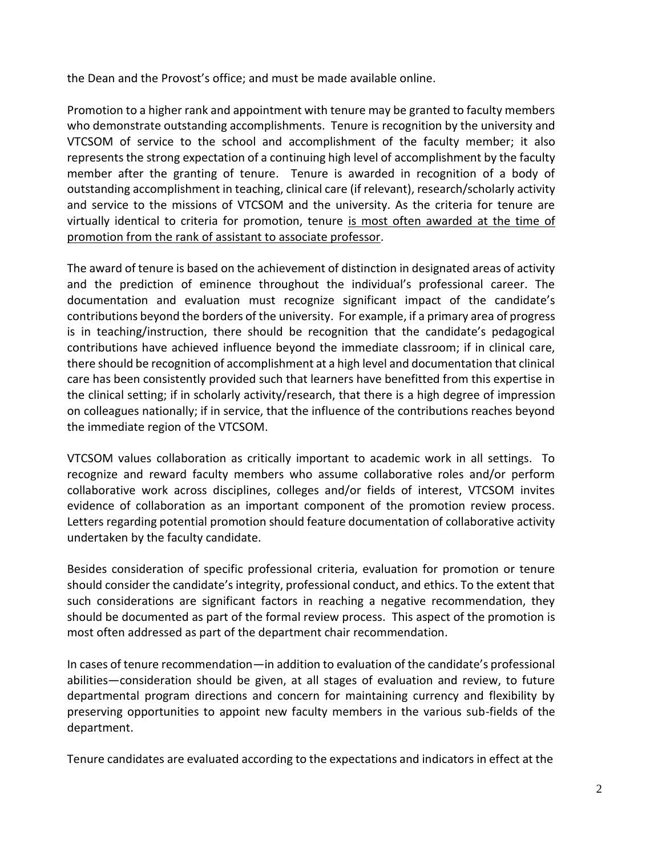the Dean and the Provost's office; and must be made available online.

Promotion to a higher rank and appointment with tenure may be granted to faculty members who demonstrate outstanding accomplishments. Tenure is recognition by the university and VTCSOM of service to the school and accomplishment of the faculty member; it also represents the strong expectation of a continuing high level of accomplishment by the faculty member after the granting of tenure. Tenure is awarded in recognition of a body of outstanding accomplishment in teaching, clinical care (if relevant), research/scholarly activity and service to the missions of VTCSOM and the university. As the criteria for tenure are virtually identical to criteria for promotion, tenure is most often awarded at the time of promotion from the rank of assistant to associate professor.

The award of tenure is based on the achievement of distinction in designated areas of activity and the prediction of eminence throughout the individual's professional career. The documentation and evaluation must recognize significant impact of the candidate's contributions beyond the borders of the university. For example, if a primary area of progress is in teaching/instruction, there should be recognition that the candidate's pedagogical contributions have achieved influence beyond the immediate classroom; if in clinical care, there should be recognition of accomplishment at a high level and documentation that clinical care has been consistently provided such that learners have benefitted from this expertise in the clinical setting; if in scholarly activity/research, that there is a high degree of impression on colleagues nationally; if in service, that the influence of the contributions reaches beyond the immediate region of the VTCSOM.

VTCSOM values collaboration as critically important to academic work in all settings. To recognize and reward faculty members who assume collaborative roles and/or perform collaborative work across disciplines, colleges and/or fields of interest, VTCSOM invites evidence of collaboration as an important component of the promotion review process. Letters regarding potential promotion should feature documentation of collaborative activity undertaken by the faculty candidate.

Besides consideration of specific professional criteria, evaluation for promotion or tenure should consider the candidate's integrity, professional conduct, and ethics. To the extent that such considerations are significant factors in reaching a negative recommendation, they should be documented as part of the formal review process. This aspect of the promotion is most often addressed as part of the department chair recommendation.

In cases of tenure recommendation—in addition to evaluation of the candidate's professional abilities—consideration should be given, at all stages of evaluation and review, to future departmental program directions and concern for maintaining currency and flexibility by preserving opportunities to appoint new faculty members in the various sub-fields of the department.

Tenure candidates are evaluated according to the expectations and indicators in effect at the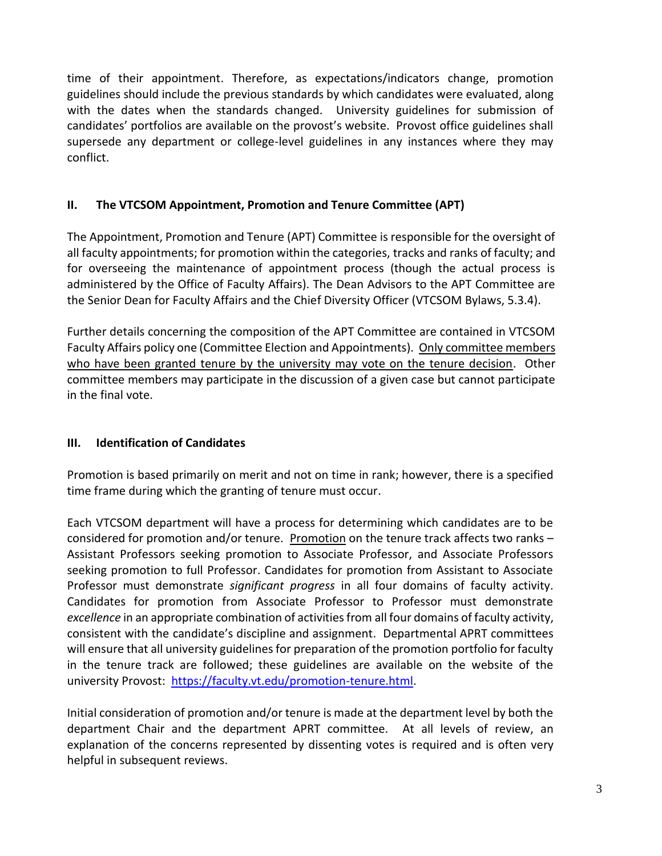time of their appointment. Therefore, as expectations/indicators change, promotion guidelines should include the previous standards by which candidates were evaluated, along with the dates when the standards changed. University guidelines for submission of candidates' portfolios are available on the provost's website. Provost office guidelines shall supersede any department or college-level guidelines in any instances where they may conflict.

## **II. The VTCSOM Appointment, Promotion and Tenure Committee (APT)**

The Appointment, Promotion and Tenure (APT) Committee is responsible for the oversight of all faculty appointments; for promotion within the categories, tracks and ranks of faculty; and for overseeing the maintenance of appointment process (though the actual process is administered by the Office of Faculty Affairs). The Dean Advisors to the APT Committee are the Senior Dean for Faculty Affairs and the Chief Diversity Officer (VTCSOM Bylaws, 5.3.4).

Further details concerning the composition of the APT Committee are contained in VTCSOM Faculty Affairs policy one (Committee Election and Appointments). Only committee members who have been granted tenure by the university may vote on the tenure decision. Other committee members may participate in the discussion of a given case but cannot participate in the final vote.

## **III. Identification of Candidates**

Promotion is based primarily on merit and not on time in rank; however, there is a specified time frame during which the granting of tenure must occur.

Each VTCSOM department will have a process for determining which candidates are to be considered for promotion and/or tenure. Promotion on the tenure track affects two ranks – Assistant Professors seeking promotion to Associate Professor, and Associate Professors seeking promotion to full Professor. Candidates for promotion from Assistant to Associate Professor must demonstrate *significant progress* in all four domains of faculty activity. Candidates for promotion from Associate Professor to Professor must demonstrate *excellence* in an appropriate combination of activities from all four domains of faculty activity, consistent with the candidate's discipline and assignment. Departmental APRT committees will ensure that all university guidelines for preparation of the promotion portfolio for faculty in the tenure track are followed; these guidelines are available on the website of the university Provost: [https://faculty.vt.edu/promotion-tenure.html.](https://faculty.vt.edu/promotion-tenure.html)

Initial consideration of promotion and/or tenure is made at the department level by both the department Chair and the department APRT committee. At all levels of review, an explanation of the concerns represented by dissenting votes is required and is often very helpful in subsequent reviews.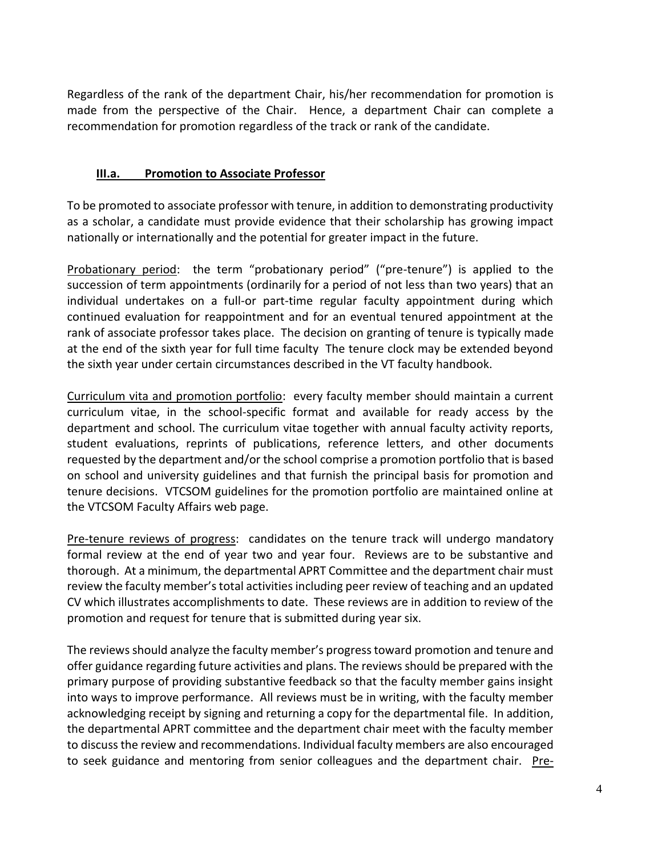Regardless of the rank of the department Chair, his/her recommendation for promotion is made from the perspective of the Chair. Hence, a department Chair can complete a recommendation for promotion regardless of the track or rank of the candidate.

#### **III.a. Promotion to Associate Professor**

To be promoted to associate professor with tenure, in addition to demonstrating productivity as a scholar, a candidate must provide evidence that their scholarship has growing impact nationally or internationally and the potential for greater impact in the future.

Probationary period: the term "probationary period" ("pre-tenure") is applied to the succession of term appointments (ordinarily for a period of not less than two years) that an individual undertakes on a full-or part-time regular faculty appointment during which continued evaluation for reappointment and for an eventual tenured appointment at the rank of associate professor takes place. The decision on granting of tenure is typically made at the end of the sixth year for full time faculty The tenure clock may be extended beyond the sixth year under certain circumstances described in the VT faculty handbook.

Curriculum vita and promotion portfolio: every faculty member should maintain a current curriculum vitae, in the school-specific format and available for ready access by the department and school. The curriculum vitae together with annual faculty activity reports, student evaluations, reprints of publications, reference letters, and other documents requested by the department and/or the school comprise a promotion portfolio that is based on school and university guidelines and that furnish the principal basis for promotion and tenure decisions. VTCSOM guidelines for the promotion portfolio are maintained online at the VTCSOM Faculty Affairs web page.

Pre-tenure reviews of progress: candidates on the tenure track will undergo mandatory formal review at the end of year two and year four. Reviews are to be substantive and thorough. At a minimum, the departmental APRT Committee and the department chair must review the faculty member's total activities including peer review of teaching and an updated CV which illustrates accomplishments to date. These reviews are in addition to review of the promotion and request for tenure that is submitted during year six.

The reviews should analyze the faculty member's progress toward promotion and tenure and offer guidance regarding future activities and plans. The reviews should be prepared with the primary purpose of providing substantive feedback so that the faculty member gains insight into ways to improve performance. All reviews must be in writing, with the faculty member acknowledging receipt by signing and returning a copy for the departmental file. In addition, the departmental APRT committee and the department chair meet with the faculty member to discuss the review and recommendations. Individual faculty members are also encouraged to seek guidance and mentoring from senior colleagues and the department chair. Pre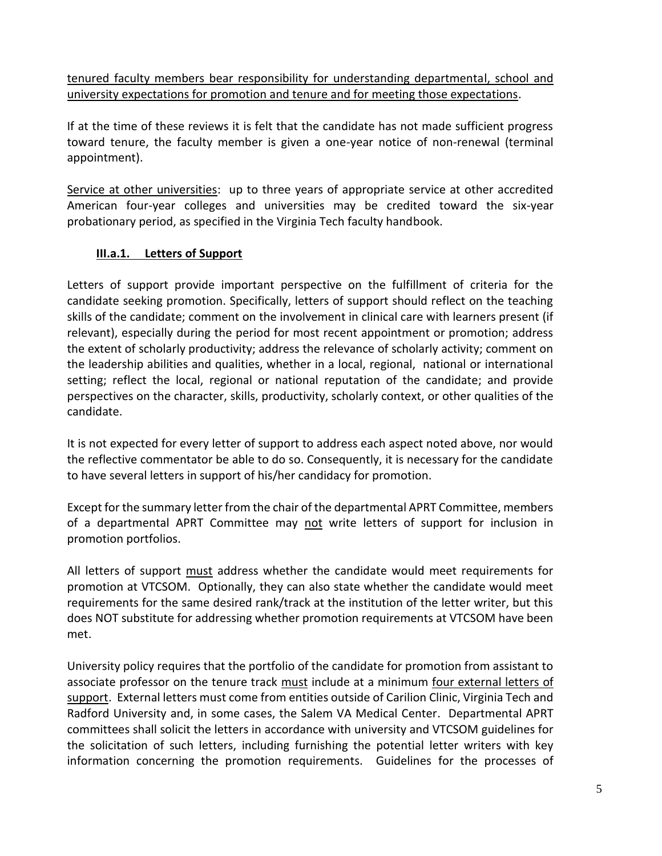tenured faculty members bear responsibility for understanding departmental, school and university expectations for promotion and tenure and for meeting those expectations.

If at the time of these reviews it is felt that the candidate has not made sufficient progress toward tenure, the faculty member is given a one-year notice of non-renewal (terminal appointment).

Service at other universities: up to three years of appropriate service at other accredited American four-year colleges and universities may be credited toward the six-year probationary period, as specified in the Virginia Tech faculty handbook.

## **III.a.1. Letters of Support**

Letters of support provide important perspective on the fulfillment of criteria for the candidate seeking promotion. Specifically, letters of support should reflect on the teaching skills of the candidate; comment on the involvement in clinical care with learners present (if relevant), especially during the period for most recent appointment or promotion; address the extent of scholarly productivity; address the relevance of scholarly activity; comment on the leadership abilities and qualities, whether in a local, regional, national or international setting; reflect the local, regional or national reputation of the candidate; and provide perspectives on the character, skills, productivity, scholarly context, or other qualities of the candidate.

It is not expected for every letter of support to address each aspect noted above, nor would the reflective commentator be able to do so. Consequently, it is necessary for the candidate to have several letters in support of his/her candidacy for promotion.

Except for the summary letter from the chair of the departmental APRT Committee, members of a departmental APRT Committee may not write letters of support for inclusion in promotion portfolios.

All letters of support must address whether the candidate would meet requirements for promotion at VTCSOM. Optionally, they can also state whether the candidate would meet requirements for the same desired rank/track at the institution of the letter writer, but this does NOT substitute for addressing whether promotion requirements at VTCSOM have been met.

University policy requires that the portfolio of the candidate for promotion from assistant to associate professor on the tenure track must include at a minimum four external letters of support. External letters must come from entities outside of Carilion Clinic, Virginia Tech and Radford University and, in some cases, the Salem VA Medical Center. Departmental APRT committees shall solicit the letters in accordance with university and VTCSOM guidelines for the solicitation of such letters, including furnishing the potential letter writers with key information concerning the promotion requirements. Guidelines for the processes of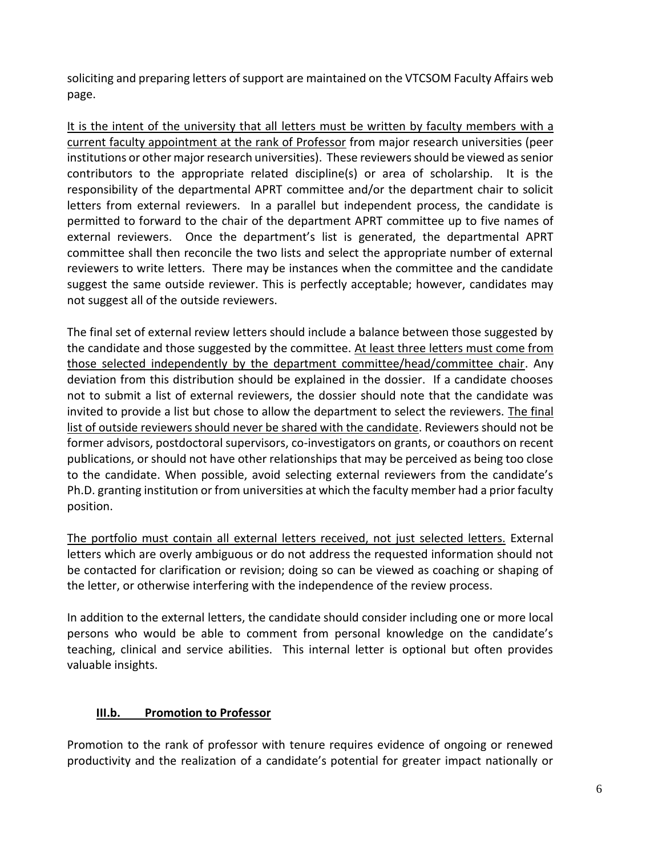soliciting and preparing letters of support are maintained on the VTCSOM Faculty Affairs web page.

It is the intent of the university that all letters must be written by faculty members with a current faculty appointment at the rank of Professor from major research universities (peer institutions or other major research universities). These reviewers should be viewed as senior contributors to the appropriate related discipline(s) or area of scholarship. It is the responsibility of the departmental APRT committee and/or the department chair to solicit letters from external reviewers. In a parallel but independent process, the candidate is permitted to forward to the chair of the department APRT committee up to five names of external reviewers. Once the department's list is generated, the departmental APRT committee shall then reconcile the two lists and select the appropriate number of external reviewers to write letters. There may be instances when the committee and the candidate suggest the same outside reviewer. This is perfectly acceptable; however, candidates may not suggest all of the outside reviewers.

The final set of external review letters should include a balance between those suggested by the candidate and those suggested by the committee. At least three letters must come from those selected independently by the department committee/head/committee chair. Any deviation from this distribution should be explained in the dossier. If a candidate chooses not to submit a list of external reviewers, the dossier should note that the candidate was invited to provide a list but chose to allow the department to select the reviewers. The final list of outside reviewers should never be shared with the candidate. Reviewers should not be former advisors, postdoctoral supervisors, co-investigators on grants, or coauthors on recent publications, or should not have other relationships that may be perceived as being too close to the candidate. When possible, avoid selecting external reviewers from the candidate's Ph.D. granting institution or from universities at which the faculty member had a prior faculty position.

The portfolio must contain all external letters received, not just selected letters. External letters which are overly ambiguous or do not address the requested information should not be contacted for clarification or revision; doing so can be viewed as coaching or shaping of the letter, or otherwise interfering with the independence of the review process.

In addition to the external letters, the candidate should consider including one or more local persons who would be able to comment from personal knowledge on the candidate's teaching, clinical and service abilities. This internal letter is optional but often provides valuable insights.

## **III.b. Promotion to Professor**

Promotion to the rank of professor with tenure requires evidence of ongoing or renewed productivity and the realization of a candidate's potential for greater impact nationally or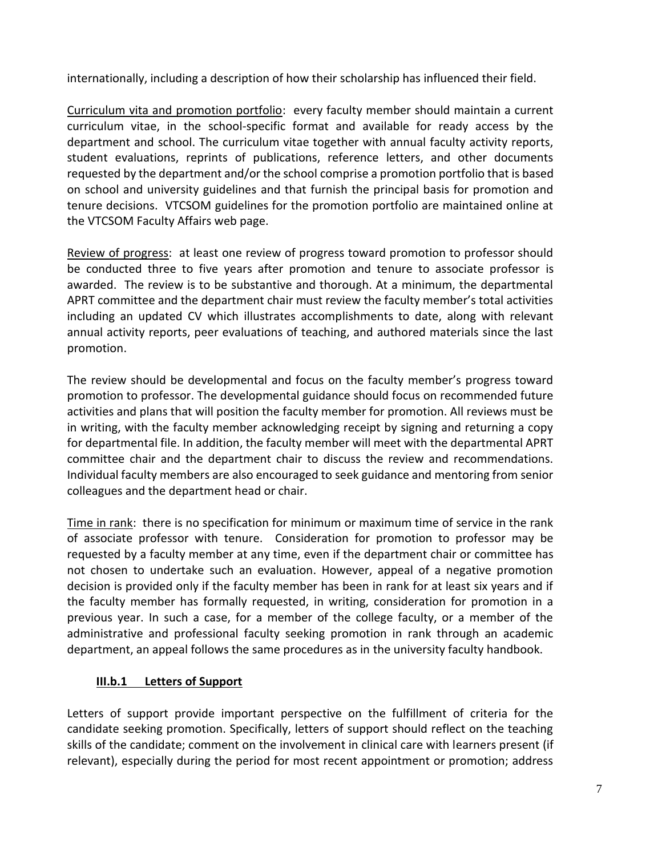internationally, including a description of how their scholarship has influenced their field.

Curriculum vita and promotion portfolio: every faculty member should maintain a current curriculum vitae, in the school-specific format and available for ready access by the department and school. The curriculum vitae together with annual faculty activity reports, student evaluations, reprints of publications, reference letters, and other documents requested by the department and/or the school comprise a promotion portfolio that is based on school and university guidelines and that furnish the principal basis for promotion and tenure decisions. VTCSOM guidelines for the promotion portfolio are maintained online at the VTCSOM Faculty Affairs web page.

Review of progress: at least one review of progress toward promotion to professor should be conducted three to five years after promotion and tenure to associate professor is awarded. The review is to be substantive and thorough. At a minimum, the departmental APRT committee and the department chair must review the faculty member's total activities including an updated CV which illustrates accomplishments to date, along with relevant annual activity reports, peer evaluations of teaching, and authored materials since the last promotion.

The review should be developmental and focus on the faculty member's progress toward promotion to professor. The developmental guidance should focus on recommended future activities and plans that will position the faculty member for promotion. All reviews must be in writing, with the faculty member acknowledging receipt by signing and returning a copy for departmental file. In addition, the faculty member will meet with the departmental APRT committee chair and the department chair to discuss the review and recommendations. Individual faculty members are also encouraged to seek guidance and mentoring from senior colleagues and the department head or chair.

Time in rank: there is no specification for minimum or maximum time of service in the rank of associate professor with tenure. Consideration for promotion to professor may be requested by a faculty member at any time, even if the department chair or committee has not chosen to undertake such an evaluation. However, appeal of a negative promotion decision is provided only if the faculty member has been in rank for at least six years and if the faculty member has formally requested, in writing, consideration for promotion in a previous year. In such a case, for a member of the college faculty, or a member of the administrative and professional faculty seeking promotion in rank through an academic department, an appeal follows the same procedures as in the university faculty handbook.

#### **III.b.1 Letters of Support**

Letters of support provide important perspective on the fulfillment of criteria for the candidate seeking promotion. Specifically, letters of support should reflect on the teaching skills of the candidate; comment on the involvement in clinical care with learners present (if relevant), especially during the period for most recent appointment or promotion; address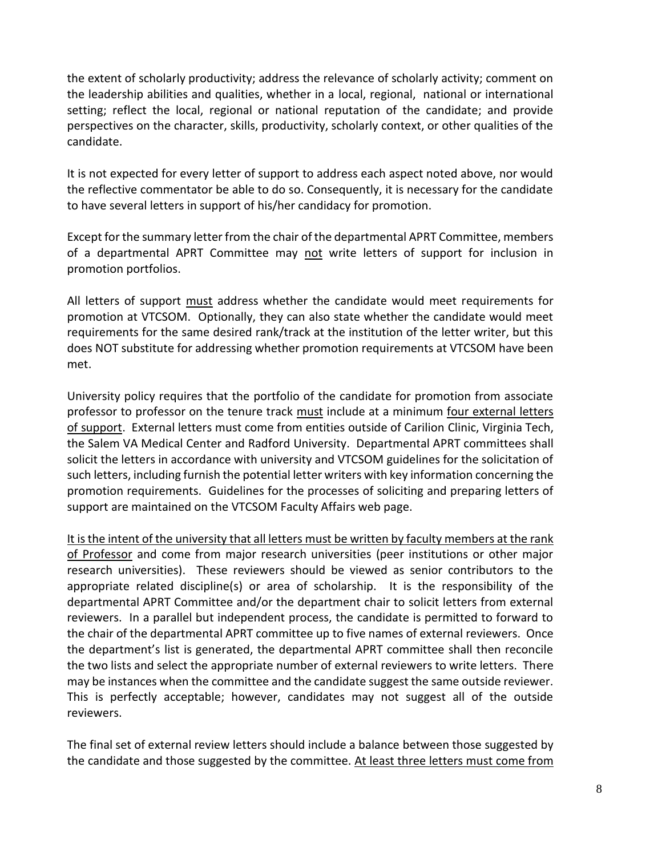the extent of scholarly productivity; address the relevance of scholarly activity; comment on the leadership abilities and qualities, whether in a local, regional, national or international setting; reflect the local, regional or national reputation of the candidate; and provide perspectives on the character, skills, productivity, scholarly context, or other qualities of the candidate.

It is not expected for every letter of support to address each aspect noted above, nor would the reflective commentator be able to do so. Consequently, it is necessary for the candidate to have several letters in support of his/her candidacy for promotion.

Except for the summary letter from the chair of the departmental APRT Committee, members of a departmental APRT Committee may not write letters of support for inclusion in promotion portfolios.

All letters of support must address whether the candidate would meet requirements for promotion at VTCSOM. Optionally, they can also state whether the candidate would meet requirements for the same desired rank/track at the institution of the letter writer, but this does NOT substitute for addressing whether promotion requirements at VTCSOM have been met.

University policy requires that the portfolio of the candidate for promotion from associate professor to professor on the tenure track must include at a minimum four external letters of support. External letters must come from entities outside of Carilion Clinic, Virginia Tech, the Salem VA Medical Center and Radford University. Departmental APRT committees shall solicit the letters in accordance with university and VTCSOM guidelines for the solicitation of such letters, including furnish the potential letter writers with key information concerning the promotion requirements. Guidelines for the processes of soliciting and preparing letters of support are maintained on the VTCSOM Faculty Affairs web page.

It is the intent of the university that all letters must be written by faculty members at the rank of Professor and come from major research universities (peer institutions or other major research universities). These reviewers should be viewed as senior contributors to the appropriate related discipline(s) or area of scholarship. It is the responsibility of the departmental APRT Committee and/or the department chair to solicit letters from external reviewers. In a parallel but independent process, the candidate is permitted to forward to the chair of the departmental APRT committee up to five names of external reviewers. Once the department's list is generated, the departmental APRT committee shall then reconcile the two lists and select the appropriate number of external reviewers to write letters. There may be instances when the committee and the candidate suggest the same outside reviewer. This is perfectly acceptable; however, candidates may not suggest all of the outside reviewers.

The final set of external review letters should include a balance between those suggested by the candidate and those suggested by the committee. At least three letters must come from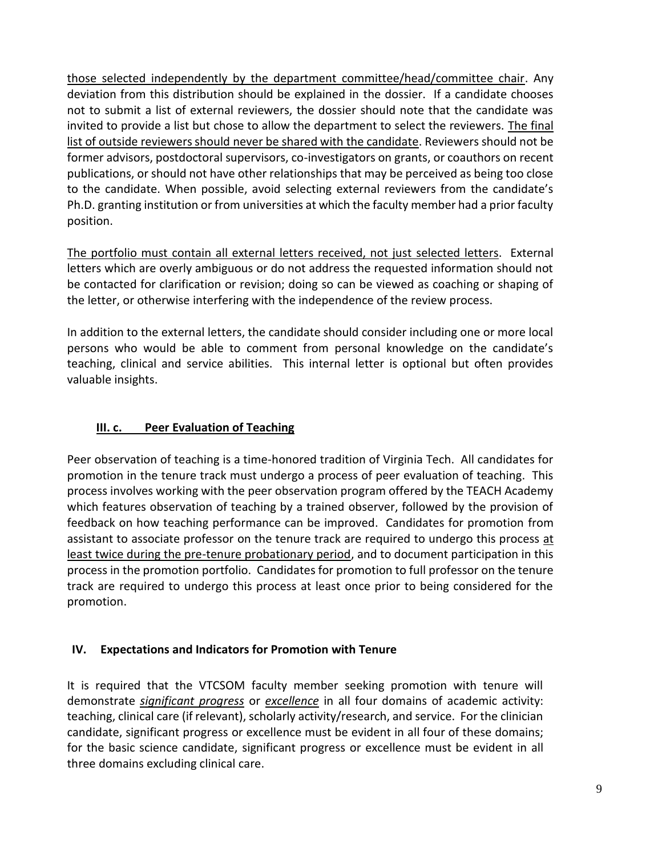those selected independently by the department committee/head/committee chair. Any deviation from this distribution should be explained in the dossier. If a candidate chooses not to submit a list of external reviewers, the dossier should note that the candidate was invited to provide a list but chose to allow the department to select the reviewers. The final list of outside reviewers should never be shared with the candidate. Reviewers should not be former advisors, postdoctoral supervisors, co-investigators on grants, or coauthors on recent publications, or should not have other relationships that may be perceived as being too close to the candidate. When possible, avoid selecting external reviewers from the candidate's Ph.D. granting institution or from universities at which the faculty member had a prior faculty position.

The portfolio must contain all external letters received, not just selected letters. External letters which are overly ambiguous or do not address the requested information should not be contacted for clarification or revision; doing so can be viewed as coaching or shaping of the letter, or otherwise interfering with the independence of the review process.

In addition to the external letters, the candidate should consider including one or more local persons who would be able to comment from personal knowledge on the candidate's teaching, clinical and service abilities. This internal letter is optional but often provides valuable insights.

## **III. c. Peer Evaluation of Teaching**

Peer observation of teaching is a time-honored tradition of Virginia Tech. All candidates for promotion in the tenure track must undergo a process of peer evaluation of teaching. This process involves working with the peer observation program offered by the TEACH Academy which features observation of teaching by a trained observer, followed by the provision of feedback on how teaching performance can be improved. Candidates for promotion from assistant to associate professor on the tenure track are required to undergo this process at least twice during the pre-tenure probationary period, and to document participation in this process in the promotion portfolio. Candidates for promotion to full professor on the tenure track are required to undergo this process at least once prior to being considered for the promotion.

#### **IV. Expectations and Indicators for Promotion with Tenure**

It is required that the VTCSOM faculty member seeking promotion with tenure will demonstrate *significant progress* or *excellence* in all four domains of academic activity: teaching, clinical care (if relevant), scholarly activity/research, and service. For the clinician candidate, significant progress or excellence must be evident in all four of these domains; for the basic science candidate, significant progress or excellence must be evident in all three domains excluding clinical care.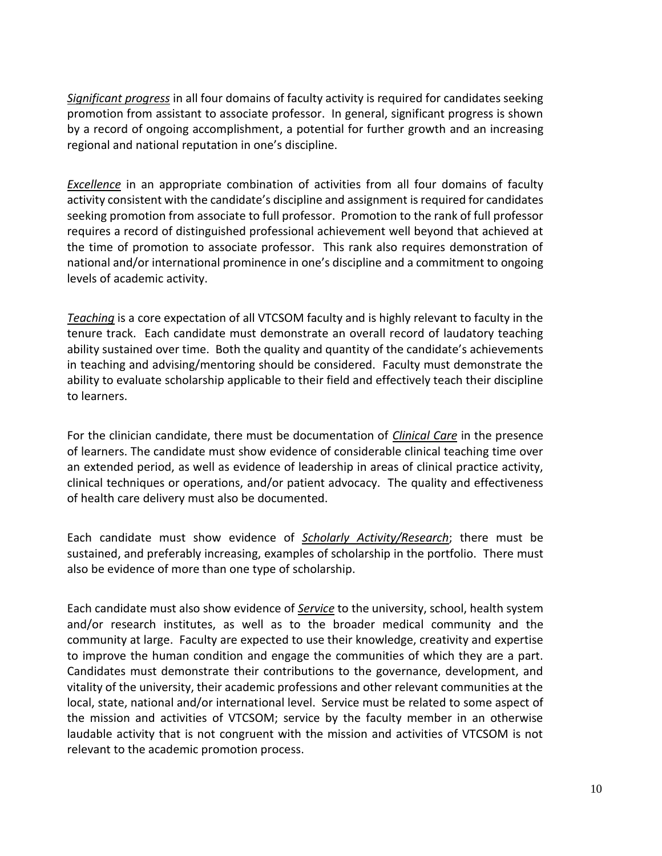*Significant progress* in all four domains of faculty activity is required for candidates seeking promotion from assistant to associate professor. In general, significant progress is shown by a record of ongoing accomplishment, a potential for further growth and an increasing regional and national reputation in one's discipline.

*Excellence* in an appropriate combination of activities from all four domains of faculty activity consistent with the candidate's discipline and assignment is required for candidates seeking promotion from associate to full professor. Promotion to the rank of full professor requires a record of distinguished professional achievement well beyond that achieved at the time of promotion to associate professor. This rank also requires demonstration of national and/or international prominence in one's discipline and a commitment to ongoing levels of academic activity.

*Teaching* is a core expectation of all VTCSOM faculty and is highly relevant to faculty in the tenure track. Each candidate must demonstrate an overall record of laudatory teaching ability sustained over time. Both the quality and quantity of the candidate's achievements in teaching and advising/mentoring should be considered. Faculty must demonstrate the ability to evaluate scholarship applicable to their field and effectively teach their discipline to learners.

For the clinician candidate, there must be documentation of *Clinical Care* in the presence of learners. The candidate must show evidence of considerable clinical teaching time over an extended period, as well as evidence of leadership in areas of clinical practice activity, clinical techniques or operations, and/or patient advocacy. The quality and effectiveness of health care delivery must also be documented.

Each candidate must show evidence of *Scholarly Activity/Research*; there must be sustained, and preferably increasing, examples of scholarship in the portfolio. There must also be evidence of more than one type of scholarship.

Each candidate must also show evidence of *Service* to the university, school, health system and/or research institutes, as well as to the broader medical community and the community at large. Faculty are expected to use their knowledge, creativity and expertise to improve the human condition and engage the communities of which they are a part. Candidates must demonstrate their contributions to the governance, development, and vitality of the university, their academic professions and other relevant communities at the local, state, national and/or international level. Service must be related to some aspect of the mission and activities of VTCSOM; service by the faculty member in an otherwise laudable activity that is not congruent with the mission and activities of VTCSOM is not relevant to the academic promotion process.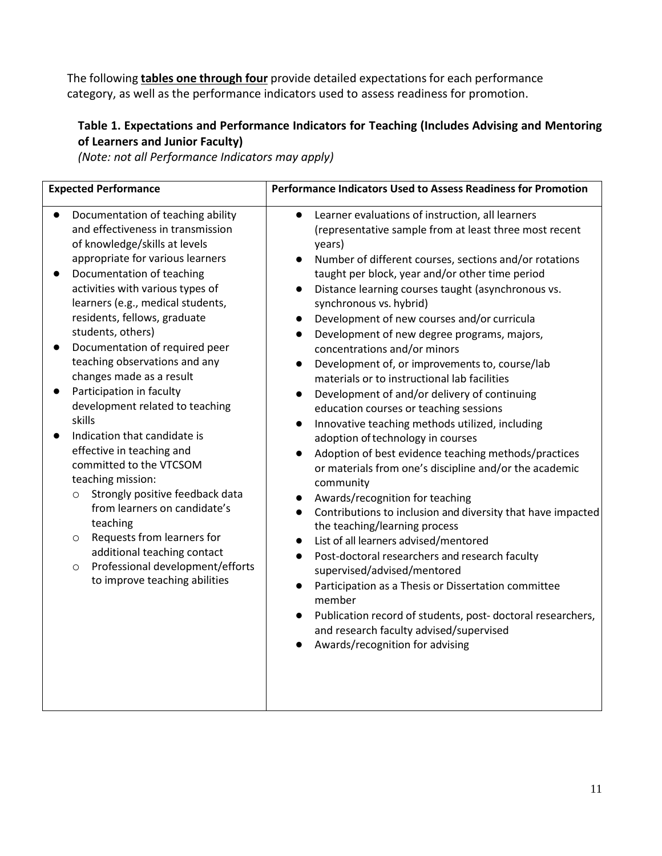The following **tables one through four** provide detailed expectations for each performance category, as well as the performance indicators used to assess readiness for promotion.

## **Table 1. Expectations and Performance Indicators for Teaching (Includes Advising and Mentoring of Learners and Junior Faculty)**

*(Note: not all Performance Indicators may apply)*

| <b>Expected Performance</b>                                                                                                                                                                                                                                                                                                                                                                                                                                                                                                                                                                                                                                                                                                                                                                                                                   | Performance Indicators Used to Assess Readiness for Promotion                                                                                                                                                                                                                                                                                                                                                                                                                                                                                                                                                                                                                                                                                                                                                                                                                                                                                                                                                                                                                                                                                                                                                                                                                                                                                                                                                                                                      |
|-----------------------------------------------------------------------------------------------------------------------------------------------------------------------------------------------------------------------------------------------------------------------------------------------------------------------------------------------------------------------------------------------------------------------------------------------------------------------------------------------------------------------------------------------------------------------------------------------------------------------------------------------------------------------------------------------------------------------------------------------------------------------------------------------------------------------------------------------|--------------------------------------------------------------------------------------------------------------------------------------------------------------------------------------------------------------------------------------------------------------------------------------------------------------------------------------------------------------------------------------------------------------------------------------------------------------------------------------------------------------------------------------------------------------------------------------------------------------------------------------------------------------------------------------------------------------------------------------------------------------------------------------------------------------------------------------------------------------------------------------------------------------------------------------------------------------------------------------------------------------------------------------------------------------------------------------------------------------------------------------------------------------------------------------------------------------------------------------------------------------------------------------------------------------------------------------------------------------------------------------------------------------------------------------------------------------------|
| Documentation of teaching ability<br>and effectiveness in transmission<br>of knowledge/skills at levels<br>appropriate for various learners<br>Documentation of teaching<br>activities with various types of<br>learners (e.g., medical students,<br>residents, fellows, graduate<br>students, others)<br>Documentation of required peer<br>teaching observations and any<br>changes made as a result<br>Participation in faculty<br>development related to teaching<br>skills<br>Indication that candidate is<br>effective in teaching and<br>committed to the VTCSOM<br>teaching mission:<br>Strongly positive feedback data<br>$\circ$<br>from learners on candidate's<br>teaching<br>Requests from learners for<br>$\circ$<br>additional teaching contact<br>Professional development/efforts<br>$\circ$<br>to improve teaching abilities | Learner evaluations of instruction, all learners<br>$\bullet$<br>(representative sample from at least three most recent<br>years)<br>Number of different courses, sections and/or rotations<br>$\bullet$<br>taught per block, year and/or other time period<br>Distance learning courses taught (asynchronous vs.<br>synchronous vs. hybrid)<br>Development of new courses and/or curricula<br>Development of new degree programs, majors,<br>$\bullet$<br>concentrations and/or minors<br>Development of, or improvements to, course/lab<br>materials or to instructional lab facilities<br>Development of and/or delivery of continuing<br>$\bullet$<br>education courses or teaching sessions<br>Innovative teaching methods utilized, including<br>$\bullet$<br>adoption of technology in courses<br>Adoption of best evidence teaching methods/practices<br>$\bullet$<br>or materials from one's discipline and/or the academic<br>community<br>Awards/recognition for teaching<br>Contributions to inclusion and diversity that have impacted<br>$\bullet$<br>the teaching/learning process<br>List of all learners advised/mentored<br>Post-doctoral researchers and research faculty<br>$\bullet$<br>supervised/advised/mentored<br>Participation as a Thesis or Dissertation committee<br>$\bullet$<br>member<br>Publication record of students, post-doctoral researchers,<br>and research faculty advised/supervised<br>Awards/recognition for advising |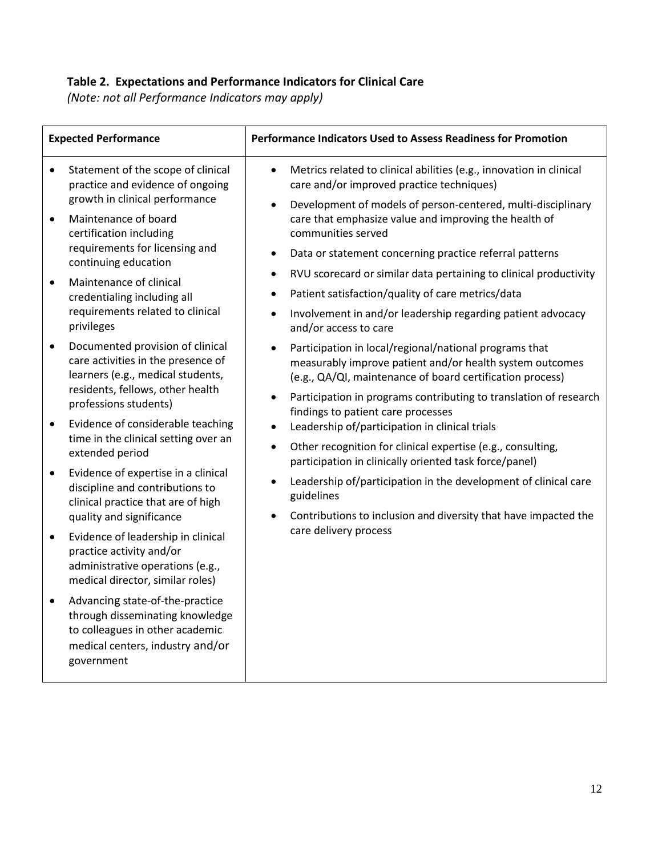# **Table 2. Expectations and Performance Indicators for Clinical Care**

*(Note: not all Performance Indicators may apply)*

| <b>Expected Performance</b> |                                                                                                                                                                          | <b>Performance Indicators Used to Assess Readiness for Promotion</b>                                                                                                                                                                                                                                                                                                                                                                                                                                                                                                                                                                                                                                                     |
|-----------------------------|--------------------------------------------------------------------------------------------------------------------------------------------------------------------------|--------------------------------------------------------------------------------------------------------------------------------------------------------------------------------------------------------------------------------------------------------------------------------------------------------------------------------------------------------------------------------------------------------------------------------------------------------------------------------------------------------------------------------------------------------------------------------------------------------------------------------------------------------------------------------------------------------------------------|
| $\bullet$                   | Statement of the scope of clinical<br>practice and evidence of ongoing                                                                                                   | Metrics related to clinical abilities (e.g., innovation in clinical<br>$\bullet$<br>care and/or improved practice techniques)                                                                                                                                                                                                                                                                                                                                                                                                                                                                                                                                                                                            |
| $\bullet$                   | growth in clinical performance<br>Maintenance of board<br>certification including<br>requirements for licensing and<br>continuing education                              | Development of models of person-centered, multi-disciplinary<br>$\bullet$<br>care that emphasize value and improving the health of<br>communities served<br>Data or statement concerning practice referral patterns<br>٠<br>RVU scorecard or similar data pertaining to clinical productivity<br>$\bullet$                                                                                                                                                                                                                                                                                                                                                                                                               |
|                             | Maintenance of clinical<br>$\bullet$<br>credentialing including all<br>requirements related to clinical<br>privileges                                                    | Patient satisfaction/quality of care metrics/data<br>٠                                                                                                                                                                                                                                                                                                                                                                                                                                                                                                                                                                                                                                                                   |
|                             |                                                                                                                                                                          | Involvement in and/or leadership regarding patient advocacy<br>$\bullet$<br>and/or access to care                                                                                                                                                                                                                                                                                                                                                                                                                                                                                                                                                                                                                        |
| ٠                           | Documented provision of clinical<br>care activities in the presence of<br>learners (e.g., medical students,<br>residents, fellows, other health<br>professions students) | Participation in local/regional/national programs that<br>$\bullet$<br>measurably improve patient and/or health system outcomes<br>(e.g., QA/QI, maintenance of board certification process)<br>Participation in programs contributing to translation of research<br>$\bullet$<br>findings to patient care processes<br>Leadership of/participation in clinical trials<br>$\bullet$<br>Other recognition for clinical expertise (e.g., consulting,<br>$\bullet$<br>participation in clinically oriented task force/panel)<br>Leadership of/participation in the development of clinical care<br>$\bullet$<br>guidelines<br>Contributions to inclusion and diversity that have impacted the<br>٠<br>care delivery process |
| $\bullet$                   | Evidence of considerable teaching<br>time in the clinical setting over an<br>extended period                                                                             |                                                                                                                                                                                                                                                                                                                                                                                                                                                                                                                                                                                                                                                                                                                          |
| ٠                           | Evidence of expertise in a clinical<br>discipline and contributions to<br>clinical practice that are of high<br>quality and significance                                 |                                                                                                                                                                                                                                                                                                                                                                                                                                                                                                                                                                                                                                                                                                                          |
| $\bullet$                   | Evidence of leadership in clinical<br>practice activity and/or<br>administrative operations (e.g.,<br>medical director, similar roles)                                   |                                                                                                                                                                                                                                                                                                                                                                                                                                                                                                                                                                                                                                                                                                                          |
|                             | Advancing state-of-the-practice<br>through disseminating knowledge<br>to colleagues in other academic<br>medical centers, industry and/or<br>government                  |                                                                                                                                                                                                                                                                                                                                                                                                                                                                                                                                                                                                                                                                                                                          |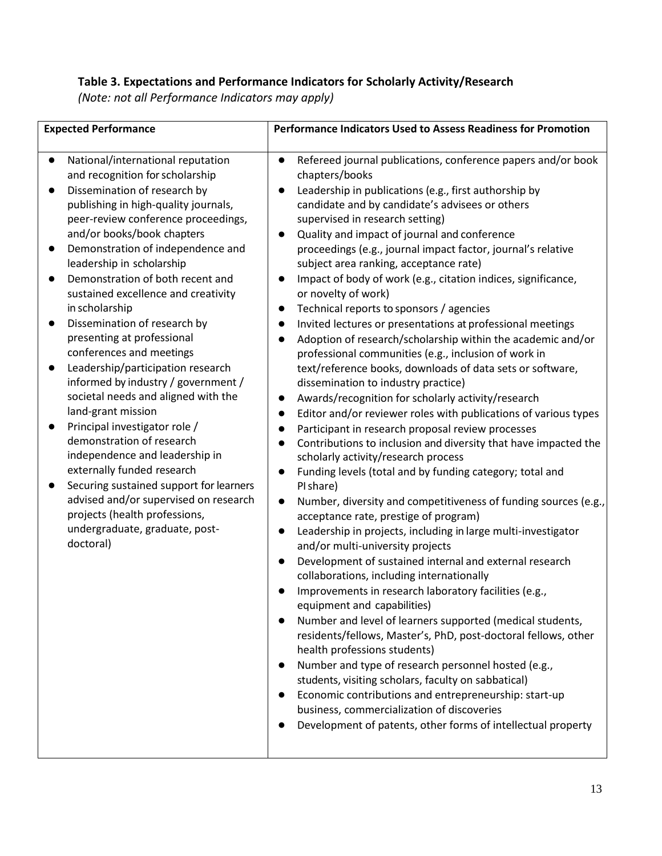## **Table 3. Expectations and Performance Indicators for Scholarly Activity/Research**

*(Note: not all Performance Indicators may apply)*

| <b>Expected Performance</b>                                                                                                                                                                                                                                                                                                                                                                                                                                                                                                                                                                                                                                                                                                                                                                                                                                                                                                                                  | <b>Performance Indicators Used to Assess Readiness for Promotion</b>                                                                                                                                                                                                                                                                                                                                                                                                                                                                                                                                                                                                                                                                                                                                                                                                                                                                                                                                                                                                                                                                                                                                                                                                                                                                                                                                                                                                                                                                                                                                                                                                                                                                                                                                                                                                                                                                                                                                                                                                                                                                                                                                      |
|--------------------------------------------------------------------------------------------------------------------------------------------------------------------------------------------------------------------------------------------------------------------------------------------------------------------------------------------------------------------------------------------------------------------------------------------------------------------------------------------------------------------------------------------------------------------------------------------------------------------------------------------------------------------------------------------------------------------------------------------------------------------------------------------------------------------------------------------------------------------------------------------------------------------------------------------------------------|-----------------------------------------------------------------------------------------------------------------------------------------------------------------------------------------------------------------------------------------------------------------------------------------------------------------------------------------------------------------------------------------------------------------------------------------------------------------------------------------------------------------------------------------------------------------------------------------------------------------------------------------------------------------------------------------------------------------------------------------------------------------------------------------------------------------------------------------------------------------------------------------------------------------------------------------------------------------------------------------------------------------------------------------------------------------------------------------------------------------------------------------------------------------------------------------------------------------------------------------------------------------------------------------------------------------------------------------------------------------------------------------------------------------------------------------------------------------------------------------------------------------------------------------------------------------------------------------------------------------------------------------------------------------------------------------------------------------------------------------------------------------------------------------------------------------------------------------------------------------------------------------------------------------------------------------------------------------------------------------------------------------------------------------------------------------------------------------------------------------------------------------------------------------------------------------------------------|
| National/international reputation<br>$\bullet$<br>and recognition for scholarship<br>Dissemination of research by<br>$\bullet$<br>publishing in high-quality journals,<br>peer-review conference proceedings,<br>and/or books/book chapters<br>Demonstration of independence and<br>$\bullet$<br>leadership in scholarship<br>Demonstration of both recent and<br>sustained excellence and creativity<br>in scholarship<br>Dissemination of research by<br>presenting at professional<br>conferences and meetings<br>Leadership/participation research<br>informed by industry / government /<br>societal needs and aligned with the<br>land-grant mission<br>Principal investigator role /<br>demonstration of research<br>independence and leadership in<br>externally funded research<br>Securing sustained support for learners<br>advised and/or supervised on research<br>projects (health professions,<br>undergraduate, graduate, post-<br>doctoral) | Refereed journal publications, conference papers and/or book<br>$\bullet$<br>chapters/books<br>Leadership in publications (e.g., first authorship by<br>$\bullet$<br>candidate and by candidate's advisees or others<br>supervised in research setting)<br>Quality and impact of journal and conference<br>$\bullet$<br>proceedings (e.g., journal impact factor, journal's relative<br>subject area ranking, acceptance rate)<br>Impact of body of work (e.g., citation indices, significance,<br>or novelty of work)<br>Technical reports to sponsors / agencies<br>$\bullet$<br>Invited lectures or presentations at professional meetings<br>Adoption of research/scholarship within the academic and/or<br>$\bullet$<br>professional communities (e.g., inclusion of work in<br>text/reference books, downloads of data sets or software,<br>dissemination to industry practice)<br>Awards/recognition for scholarly activity/research<br>$\bullet$<br>Editor and/or reviewer roles with publications of various types<br>$\bullet$<br>Participant in research proposal review processes<br>$\bullet$<br>Contributions to inclusion and diversity that have impacted the<br>$\bullet$<br>scholarly activity/research process<br>Funding levels (total and by funding category; total and<br>$\bullet$<br>PI share)<br>Number, diversity and competitiveness of funding sources (e.g.,<br>$\bullet$<br>acceptance rate, prestige of program)<br>Leadership in projects, including in large multi-investigator<br>and/or multi-university projects<br>Development of sustained internal and external research<br>collaborations, including internationally<br>Improvements in research laboratory facilities (e.g.,<br>equipment and capabilities)<br>Number and level of learners supported (medical students,<br>residents/fellows, Master's, PhD, post-doctoral fellows, other<br>health professions students)<br>Number and type of research personnel hosted (e.g.,<br>students, visiting scholars, faculty on sabbatical)<br>Economic contributions and entrepreneurship: start-up<br>business, commercialization of discoveries<br>Development of patents, other forms of intellectual property |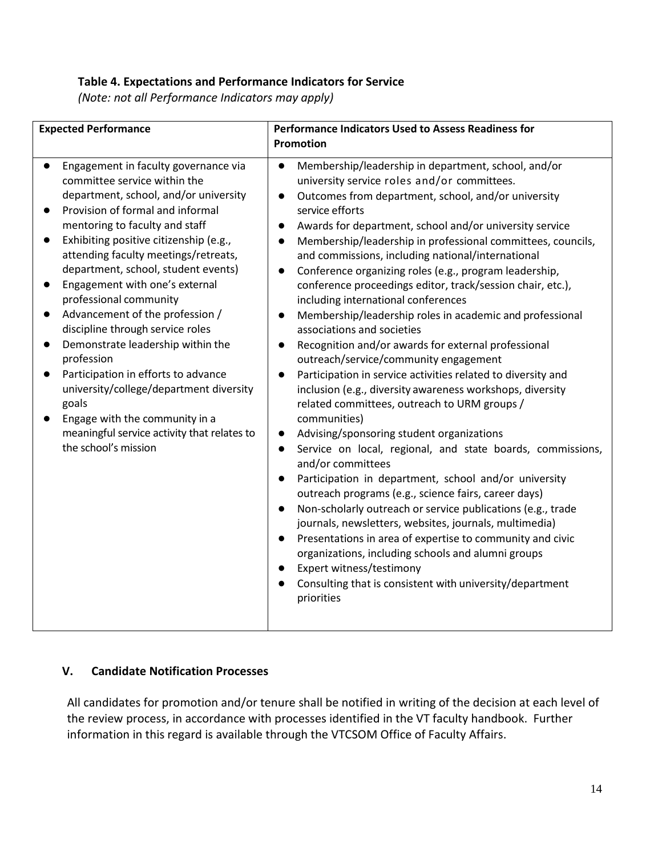#### **Table 4. Expectations and Performance Indicators for Service**

*(Note: not all Performance Indicators may apply)*

| <b>Expected Performance</b>                                                                                                                                                                                                                                                                                                                                                                                                                                                                                                                                                                                                                                                                            | <b>Performance Indicators Used to Assess Readiness for</b><br><b>Promotion</b>                                                                                                                                                                                                                                                                                                                                                                                                                                                                                                                                                                                                                                                                                                                                                                                                                                                                                                                                                                                                                                                                                                                                                                                                                                                                                                                                                                                                                                                                                                                                                                                                   |
|--------------------------------------------------------------------------------------------------------------------------------------------------------------------------------------------------------------------------------------------------------------------------------------------------------------------------------------------------------------------------------------------------------------------------------------------------------------------------------------------------------------------------------------------------------------------------------------------------------------------------------------------------------------------------------------------------------|----------------------------------------------------------------------------------------------------------------------------------------------------------------------------------------------------------------------------------------------------------------------------------------------------------------------------------------------------------------------------------------------------------------------------------------------------------------------------------------------------------------------------------------------------------------------------------------------------------------------------------------------------------------------------------------------------------------------------------------------------------------------------------------------------------------------------------------------------------------------------------------------------------------------------------------------------------------------------------------------------------------------------------------------------------------------------------------------------------------------------------------------------------------------------------------------------------------------------------------------------------------------------------------------------------------------------------------------------------------------------------------------------------------------------------------------------------------------------------------------------------------------------------------------------------------------------------------------------------------------------------------------------------------------------------|
| Engagement in faculty governance via<br>committee service within the<br>department, school, and/or university<br>Provision of formal and informal<br>mentoring to faculty and staff<br>Exhibiting positive citizenship (e.g.,<br>attending faculty meetings/retreats,<br>department, school, student events)<br>Engagement with one's external<br>professional community<br>Advancement of the profession /<br>discipline through service roles<br>Demonstrate leadership within the<br>profession<br>Participation in efforts to advance<br>university/college/department diversity<br>goals<br>Engage with the community in a<br>meaningful service activity that relates to<br>the school's mission | Membership/leadership in department, school, and/or<br>$\bullet$<br>university service roles and/or committees.<br>Outcomes from department, school, and/or university<br>$\bullet$<br>service efforts<br>Awards for department, school and/or university service<br>$\bullet$<br>Membership/leadership in professional committees, councils,<br>$\bullet$<br>and commissions, including national/international<br>Conference organizing roles (e.g., program leadership,<br>$\bullet$<br>conference proceedings editor, track/session chair, etc.),<br>including international conferences<br>Membership/leadership roles in academic and professional<br>$\bullet$<br>associations and societies<br>Recognition and/or awards for external professional<br>$\bullet$<br>outreach/service/community engagement<br>Participation in service activities related to diversity and<br>inclusion (e.g., diversity awareness workshops, diversity<br>related committees, outreach to URM groups /<br>communities)<br>Advising/sponsoring student organizations<br>$\bullet$<br>Service on local, regional, and state boards, commissions,<br>$\bullet$<br>and/or committees<br>Participation in department, school and/or university<br>$\bullet$<br>outreach programs (e.g., science fairs, career days)<br>Non-scholarly outreach or service publications (e.g., trade<br>$\bullet$<br>journals, newsletters, websites, journals, multimedia)<br>Presentations in area of expertise to community and civic<br>$\bullet$<br>organizations, including schools and alumni groups<br>Expert witness/testimony<br>Consulting that is consistent with university/department<br>priorities |

## **V. Candidate Notification Processes**

All candidates for promotion and/or tenure shall be notified in writing of the decision at each level of the review process, in accordance with processes identified in the VT faculty handbook. Further information in this regard is available through the VTCSOM Office of Faculty Affairs.